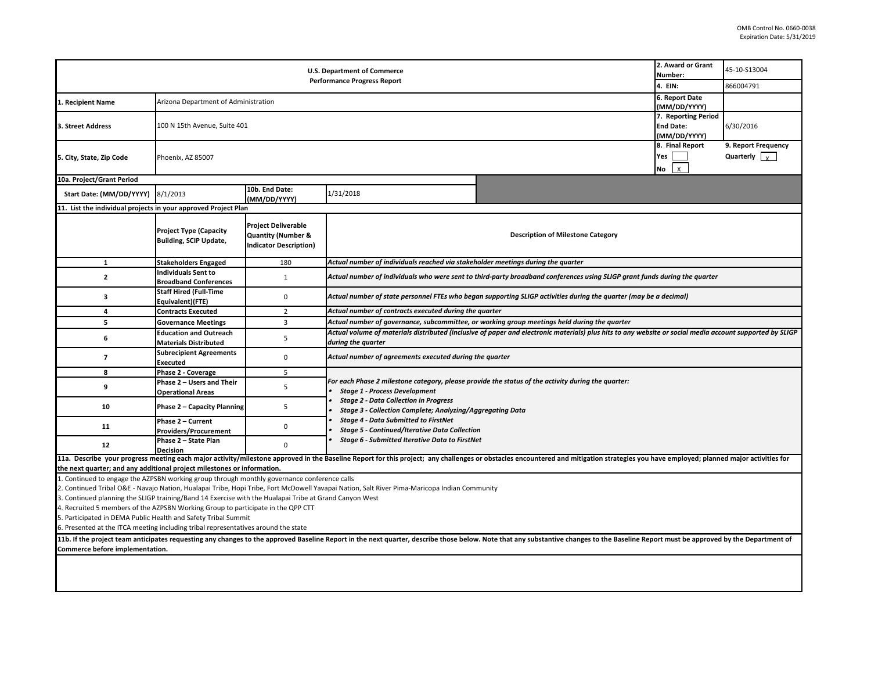| <b>U.S. Department of Commerce</b><br><b>Performance Progress Report</b>                                                                                                                                                                                          |                                                                |                                                                                              |                                                                                                                                                                                |                                          | 2. Award or Grant<br>Number:<br>4. EIN:                                 | 45-10-S13004<br>866004791                              |  |  |  |  |
|-------------------------------------------------------------------------------------------------------------------------------------------------------------------------------------------------------------------------------------------------------------------|----------------------------------------------------------------|----------------------------------------------------------------------------------------------|--------------------------------------------------------------------------------------------------------------------------------------------------------------------------------|------------------------------------------|-------------------------------------------------------------------------|--------------------------------------------------------|--|--|--|--|
| L. Recipient Name                                                                                                                                                                                                                                                 | Arizona Department of Administration                           |                                                                                              |                                                                                                                                                                                |                                          |                                                                         |                                                        |  |  |  |  |
| 3. Street Address                                                                                                                                                                                                                                                 | 100 N 15th Avenue, Suite 401                                   |                                                                                              |                                                                                                                                                                                |                                          | (MM/DD/YYYY)<br>7. Reporting Period<br><b>End Date:</b><br>(MM/DD/YYYY) | 6/30/2016                                              |  |  |  |  |
| 5. City, State, Zip Code                                                                                                                                                                                                                                          | Phoenix, AZ 85007                                              |                                                                                              |                                                                                                                                                                                |                                          | 8. Final Report<br>Yes<br>$\mathsf{x}$<br>No                            | 9. Report Frequency<br>Quarterly $\vert \cdot \rangle$ |  |  |  |  |
| 10a. Project/Grant Period                                                                                                                                                                                                                                         |                                                                |                                                                                              |                                                                                                                                                                                |                                          |                                                                         |                                                        |  |  |  |  |
| Start Date: (MM/DD/YYYY)                                                                                                                                                                                                                                          | 8/1/2013                                                       | 10b. End Date:<br>(MM/DD/YYYY)                                                               | 1/31/2018                                                                                                                                                                      |                                          |                                                                         |                                                        |  |  |  |  |
| 11. List the individual projects in your approved Project Plan                                                                                                                                                                                                    |                                                                |                                                                                              |                                                                                                                                                                                |                                          |                                                                         |                                                        |  |  |  |  |
|                                                                                                                                                                                                                                                                   | <b>Project Type (Capacity</b><br><b>Building, SCIP Update,</b> | <b>Project Deliverable</b><br><b>Quantity (Number &amp;</b><br><b>Indicator Description)</b> |                                                                                                                                                                                | <b>Description of Milestone Category</b> |                                                                         |                                                        |  |  |  |  |
| $\mathbf{1}$                                                                                                                                                                                                                                                      | <b>Stakeholders Engaged</b>                                    | 180                                                                                          | Actual number of individuals reached via stakeholder meetings during the quarter                                                                                               |                                          |                                                                         |                                                        |  |  |  |  |
| $\mathbf{2}$                                                                                                                                                                                                                                                      | <b>Individuals Sent to</b><br><b>Broadband Conferences</b>     | $\mathbf{1}$                                                                                 | Actual number of individuals who were sent to third-party broadband conferences using SLIGP grant funds during the quarter                                                     |                                          |                                                                         |                                                        |  |  |  |  |
| 3                                                                                                                                                                                                                                                                 | <b>Staff Hired (Full-Time</b><br>Equivalent)(FTE)              | $\mathbf 0$                                                                                  | Actual number of state personnel FTEs who began supporting SLIGP activities during the quarter (may be a decimal)                                                              |                                          |                                                                         |                                                        |  |  |  |  |
| 4                                                                                                                                                                                                                                                                 | <b>Contracts Executed</b>                                      | $\overline{2}$                                                                               | Actual number of contracts executed during the quarter                                                                                                                         |                                          |                                                                         |                                                        |  |  |  |  |
| 5                                                                                                                                                                                                                                                                 | <b>Governance Meetings</b>                                     | 3                                                                                            | Actual number of governance, subcommittee, or working group meetings held during the quarter                                                                                   |                                          |                                                                         |                                                        |  |  |  |  |
| 6                                                                                                                                                                                                                                                                 | <b>Education and Outreach</b><br><b>Materials Distributed</b>  | 5                                                                                            | Actual volume of materials distributed (inclusive of paper and electronic materials) plus hits to any website or social media account supported by SLIGP<br>during the quarter |                                          |                                                                         |                                                        |  |  |  |  |
| $\overline{7}$                                                                                                                                                                                                                                                    | <b>Subrecipient Agreements</b><br>Executed                     | $\mathbf 0$                                                                                  | Actual number of agreements executed during the quarter                                                                                                                        |                                          |                                                                         |                                                        |  |  |  |  |
| 8                                                                                                                                                                                                                                                                 | Phase 2 - Coverage                                             | 5                                                                                            |                                                                                                                                                                                |                                          |                                                                         |                                                        |  |  |  |  |
| 9                                                                                                                                                                                                                                                                 | Phase 2 - Users and Their<br><b>Operational Areas</b>          | 5                                                                                            | For each Phase 2 milestone category, please provide the status of the activity during the quarter:<br><b>Stage 1 - Process Development</b>                                     |                                          |                                                                         |                                                        |  |  |  |  |
| 10                                                                                                                                                                                                                                                                | <b>Phase 2 - Capacity Planning</b>                             | 5                                                                                            | <b>Stage 2 - Data Collection in Progress</b><br>Stage 3 - Collection Complete; Analyzing/Aggregating Data                                                                      |                                          |                                                                         |                                                        |  |  |  |  |
| 11                                                                                                                                                                                                                                                                | Phase 2 - Current<br><b>Providers/Procurement</b>              | 0                                                                                            | <b>Stage 4 - Data Submitted to FirstNet</b><br><b>Stage 5 - Continued/Iterative Data Collection</b>                                                                            |                                          |                                                                         |                                                        |  |  |  |  |
| 12                                                                                                                                                                                                                                                                | Phase 2 - State Plan<br><b>Decision</b>                        | $\mathbf{0}$                                                                                 | Stage 6 - Submitted Iterative Data to FirstNet                                                                                                                                 |                                          |                                                                         |                                                        |  |  |  |  |
| 11a. Describe your progress meeting each major activity/milestone approved in the Baseline Report for this project; any challenges or obstacles encountered and mitigation strategies you have employed; planned major activit                                    |                                                                |                                                                                              |                                                                                                                                                                                |                                          |                                                                         |                                                        |  |  |  |  |
| the next quarter; and any additional project milestones or information.                                                                                                                                                                                           |                                                                |                                                                                              |                                                                                                                                                                                |                                          |                                                                         |                                                        |  |  |  |  |
| 1. Continued to engage the AZPSBN working group through monthly governance conference calls                                                                                                                                                                       |                                                                |                                                                                              |                                                                                                                                                                                |                                          |                                                                         |                                                        |  |  |  |  |
| 2. Continued Tribal O&E - Navajo Nation, Hualapai Tribe, Hopi Tribe, Fort McDowell Yavapai Nation, Salt River Pima-Maricopa Indian Community                                                                                                                      |                                                                |                                                                                              |                                                                                                                                                                                |                                          |                                                                         |                                                        |  |  |  |  |
| 3. Continued planning the SLIGP training/Band 14 Exercise with the Hualapai Tribe at Grand Canyon West<br>4. Recruited 5 members of the AZPSBN Working Group to participate in the QPP CTT                                                                        |                                                                |                                                                                              |                                                                                                                                                                                |                                          |                                                                         |                                                        |  |  |  |  |
| 5. Participated in DEMA Public Health and Safety Tribal Summit                                                                                                                                                                                                    |                                                                |                                                                                              |                                                                                                                                                                                |                                          |                                                                         |                                                        |  |  |  |  |
| 6. Presented at the ITCA meeting including tribal representatives around the state                                                                                                                                                                                |                                                                |                                                                                              |                                                                                                                                                                                |                                          |                                                                         |                                                        |  |  |  |  |
| 11b. If the project team anticipates requesting any changes to the approved Baseline Report in the next quarter, describe those below. Note that any substantive changes to the Baseline Report must be approved by the Depart<br>Commerce before implementation. |                                                                |                                                                                              |                                                                                                                                                                                |                                          |                                                                         |                                                        |  |  |  |  |
|                                                                                                                                                                                                                                                                   |                                                                |                                                                                              |                                                                                                                                                                                |                                          |                                                                         |                                                        |  |  |  |  |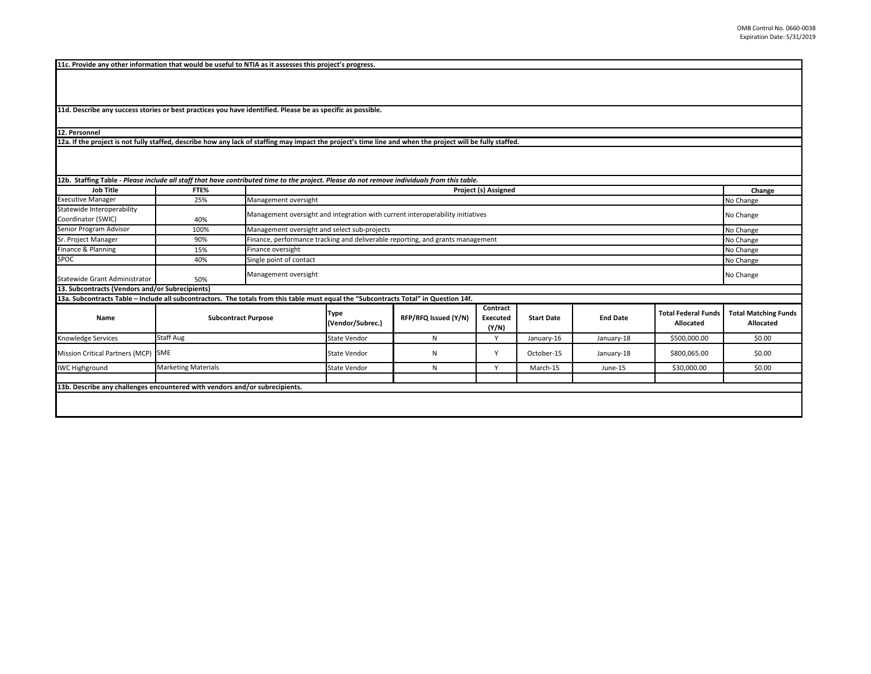**11c. Provide any other information that would be useful to NTIA as it assesses this project's progress.** 

**11d. Describe any success stories or best practices you have identified. Please be as specific as possible.**

**12. Personnel** 

**12a. If the project is not fully staffed, describe how any lack of staffing may impact the project's time line and when the project will be fully staffed.**

| 12b. Staffing Table - Please include all staff that have contributed time to the project. Please do not remove individuals from this table. |                            |                         |                                                                                             |                      |                               |                   |                 |                                         |                                          |
|---------------------------------------------------------------------------------------------------------------------------------------------|----------------------------|-------------------------|---------------------------------------------------------------------------------------------|----------------------|-------------------------------|-------------------|-----------------|-----------------------------------------|------------------------------------------|
| <b>Job Title</b>                                                                                                                            | FTE%                       |                         | Project (s) Assigned                                                                        |                      |                               |                   |                 |                                         |                                          |
| <b>Executive Manager</b>                                                                                                                    | 25%                        | Management oversight    |                                                                                             |                      |                               |                   |                 |                                         | No Change                                |
| Statewide Interoperability<br>Coordinator (SWIC)                                                                                            | 40%                        |                         | Management oversight and integration with current interoperability initiatives<br>No Change |                      |                               |                   |                 |                                         |                                          |
| Senior Program Advisor                                                                                                                      | 100%                       |                         | Management oversight and select sub-projects<br>No Change                                   |                      |                               |                   |                 |                                         |                                          |
| Sr. Project Manager                                                                                                                         | 90%                        |                         | Finance, performance tracking and deliverable reporting, and grants management<br>No Change |                      |                               |                   |                 |                                         |                                          |
| Finance & Planning                                                                                                                          | 15%                        | Finance oversight       | No Change                                                                                   |                      |                               |                   |                 |                                         |                                          |
| SPOC                                                                                                                                        | 40%                        | Single point of contact | No Change                                                                                   |                      |                               |                   |                 |                                         |                                          |
| Statewide Grant Administrator                                                                                                               | 50%                        | Management oversight    |                                                                                             |                      |                               |                   |                 |                                         | No Change                                |
| 13. Subcontracts (Vendors and/or Subrecipients)                                                                                             |                            |                         |                                                                                             |                      |                               |                   |                 |                                         |                                          |
| 13a. Subcontracts Table - Include all subcontractors. The totals from this table must equal the "Subcontracts Total" in Question 14f.       |                            |                         |                                                                                             |                      |                               |                   |                 |                                         |                                          |
| Name                                                                                                                                        | <b>Subcontract Purpose</b> |                         | Type<br>(Vendor/Subrec.)                                                                    | RFP/RFQ Issued (Y/N) | Contract<br>Executed<br>(Y/N) | <b>Start Date</b> | <b>End Date</b> | <b>Total Federal Funds</b><br>Allocated | <b>Total Matching Funds</b><br>Allocated |
| Knowledge Services                                                                                                                          | Staff Aug                  |                         |                                                                                             | N                    |                               | January-16        | January-18      | \$500,000.00                            | \$0.00                                   |
| Mission Critical Partners (MCP) SME                                                                                                         |                            |                         | <b>State Vendor</b>                                                                         | N                    | Y                             | October-15        | January-18      | \$800,065.00                            | \$0.00                                   |
| <b>IWC Highground</b>                                                                                                                       | <b>Marketing Materials</b> |                         | <b>State Vendor</b>                                                                         | N                    | $\mathsf{v}$                  | March-15          | June-15         | \$30,000.00                             | \$0.00                                   |
|                                                                                                                                             |                            |                         |                                                                                             |                      |                               |                   |                 |                                         |                                          |
| 13b. Describe any challenges encountered with vendors and/or subrecipients.                                                                 |                            |                         |                                                                                             |                      |                               |                   |                 |                                         |                                          |
|                                                                                                                                             |                            |                         |                                                                                             |                      |                               |                   |                 |                                         |                                          |